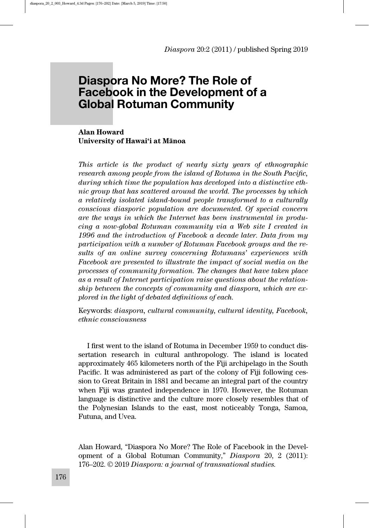# Diaspora No More? The Role of Facebook in the Development of a Global Rotuman Community

Alan Howard University of Hawai'i at Mānoa

This article is the product of nearly sixty years of ethnographic research among people from the island of Rotuma in the South Pacific, during which time the population has developed into a distinctive ethnic group that has scattered around the world. The processes by which a relatively isolated island-bound people transformed to a culturally conscious diasporic population are documented. Of special concern are the ways in which the Internet has been instrumental in producing a now-global Rotuman community via a Web site I created in 1996 and the introduction of Facebook a decade later. Data from my participation with a number of Rotuman Facebook groups and the results of an online survey concerning Rotumans' experiences with Facebook are presented to illustrate the impact of social media on the processes of community formation. The changes that have taken place as a result of Internet participation raise questions about the relationship between the concepts of community and diaspora, which are explored in the light of debated definitions of each.

Keywords: diaspora, cultural community, cultural identity, Facebook, ethnic consciousness

I first went to the island of Rotuma in December 1959 to conduct dissertation research in cultural anthropology. The island is located approximately 465 kilometers north of the Fiji archipelago in the South Pacific. It was administered as part of the colony of Fiji following cession to Great Britain in 1881 and became an integral part of the country when Fiji was granted independence in 1970. However, the Rotuman language is distinctive and the culture more closely resembles that of the Polynesian Islands to the east, most noticeably Tonga, Samoa, Futuna, and Uvea.

Alan Howard, "Diaspora No More? The Role of Facebook in the Development of a Global Rotuman Community," Diaspora 20, 2 (2011): 176–202. © 2019 Diaspora: a journal of transnational studies.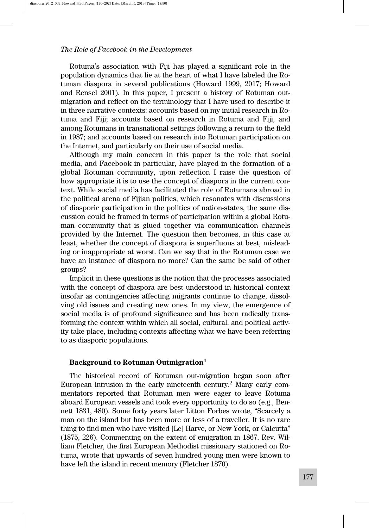Rotuma's association with Fiji has played a significant role in the population dynamics that lie at the heart of what I have labeled the Rotuman diaspora in several publications (Howard 1999, 2017; Howard and Rensel 2001). In this paper, I present a history of Rotuman outmigration and reflect on the terminology that I have used to describe it in three narrative contexts: accounts based on my initial research in Rotuma and Fiji; accounts based on research in Rotuma and Fiji, and among Rotumans in transnational settings following a return to the field in 1987; and accounts based on research into Rotuman participation on the Internet, and particularly on their use of social media.

Although my main concern in this paper is the role that social media, and Facebook in particular, have played in the formation of a global Rotuman community, upon reflection I raise the question of how appropriate it is to use the concept of diaspora in the current context. While social media has facilitated the role of Rotumans abroad in the political arena of Fijian politics, which resonates with discussions of diasporic participation in the politics of nation-states, the same discussion could be framed in terms of participation within a global Rotuman community that is glued together via communication channels provided by the Internet. The question then becomes, in this case at least, whether the concept of diaspora is superfluous at best, misleading or inappropriate at worst. Can we say that in the Rotuman case we have an instance of diaspora no more? Can the same be said of other groups?

Implicit in these questions is the notion that the processes associated with the concept of diaspora are best understood in historical context insofar as contingencies affecting migrants continue to change, dissolving old issues and creating new ones. In my view, the emergence of social media is of profound significance and has been radically transforming the context within which all social, cultural, and political activity take place, including contexts affecting what we have been referring to as diasporic populations.

#### Background to Rotuman Outmigration<sup>1</sup>

The historical record of Rotuman out-migration began soon after European intrusion in the early nineteenth century.2 Many early commentators reported that Rotuman men were eager to leave Rotuma aboard European vessels and took every opportunity to do so (e.g., Bennett 1831, 480). Some forty years later Litton Forbes wrote, "Scarcely a man on the island but has been more or less of a traveller. It is no rare thing to find men who have visited [Le] Harve, or New York, or Calcutta" (1875, 226). Commenting on the extent of emigration in 1867, Rev. William Fletcher, the first European Methodist missionary stationed on Rotuma, wrote that upwards of seven hundred young men were known to have left the island in recent memory (Fletcher 1870).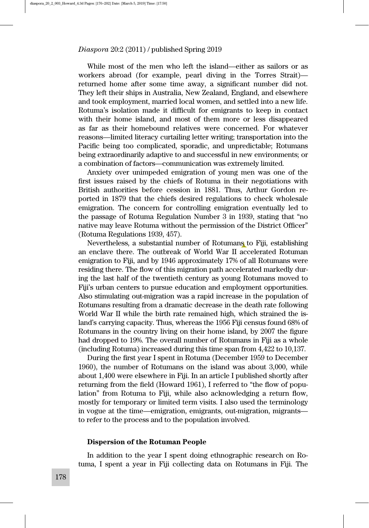While most of the men who left the island—either as sailors or as workers abroad (for example, pearl diving in the Torres Strait) returned home after some time away, a significant number did not. They left their ships in Australia, New Zealand, England, and elsewhere and took employment, married local women, and settled into a new life. Rotuma's isolation made it difficult for emigrants to keep in contact with their home island, and most of them more or less disappeared as far as their homebound relatives were concerned. For whatever reasons—limited literacy curtailing letter writing; transportation into the Pacific being too complicated, sporadic, and unpredictable; Rotumans being extraordinarily adaptive to and successful in new environments; or a combination of factors—communication was extremely limited.

Anxiety over unimpeded emigration of young men was one of the first issues raised by the chiefs of Rotuma in their negotiations with British authorities before cession in 1881. Thus, Arthur Gordon reported in 1879 that the chiefs desired regulations to check wholesale emigration. The concern for controlling emigration eventually led to the passage of Rotuma Regulation Number 3 in 1939, stating that "no native may leave Rotuma without the permission of the District Officer" (Rotuma Regulations 1939, 457).

Nevertheless, a substantial number of Rotumans to Fiji, establishing an enclave there. The outbreak of World War II accelerated Rotuman emigration to Fiji, and by 1946 approximately 17% of all Rotumans were residing there. The flow of this migration path accelerated markedly during the last half of the twentieth century as young Rotumans moved to Fiji's urban centers to pursue education and employment opportunities. Also stimulating out-migration was a rapid increase in the population of Rotumans resulting from a dramatic decrease in the death rate following World War II while the birth rate remained high, which strained the island's carrying capacity. Thus, whereas the 1956 Fiji census found 68% of Rotumans in the country living on their home island, by 2007 the figure had dropped to 19%. The overall number of Rotumans in Fiji as a whole (including Rotuma) increased during this time span from 4,422 to 10,137.

During the first year I spent in Rotuma (December 1959 to December 1960), the number of Rotumans on the island was about 3,000, while about 1,400 were elsewhere in Fiji. In an article I published shortly after returning from the field (Howard 1961), I referred to "the flow of population" from Rotuma to Fiji, while also acknowledging a return flow, mostly for temporary or limited term visits. I also used the terminology in vogue at the time—emigration, emigrants, out-migration, migrants to refer to the process and to the population involved.

# Dispersion of the Rotuman People

In addition to the year I spent doing ethnographic research on Rotuma, I spent a year in Fiji collecting data on Rotumans in Fiji. The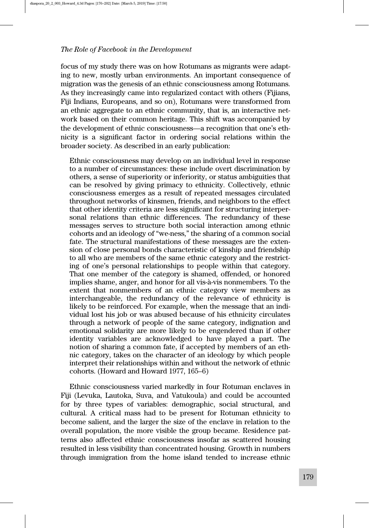focus of my study there was on how Rotumans as migrants were adapting to new, mostly urban environments. An important consequence of migration was the genesis of an ethnic consciousness among Rotumans. As they increasingly came into regularized contact with others (Fijians, Fiji Indians, Europeans, and so on), Rotumans were transformed from an ethnic aggregate to an ethnic community, that is, an interactive network based on their common heritage. This shift was accompanied by the development of ethnic consciousness—a recognition that one's ethnicity is a significant factor in ordering social relations within the broader society. As described in an early publication:

Ethnic consciousness may develop on an individual level in response to a number of circumstances: these include overt discrimination by others, a sense of superiority or inferiority, or status ambiguities that can be resolved by giving primacy to ethnicity. Collectively, ethnic consciousness emerges as a result of repeated messages circulated throughout networks of kinsmen, friends, and neighbors to the effect that other identity criteria are less significant for structuring interpersonal relations than ethnic differences. The redundancy of these messages serves to structure both social interaction among ethnic cohorts and an ideology of "we-ness," the sharing of a common social fate. The structural manifestations of these messages are the extension of close personal bonds characteristic of kinship and friendship to all who are members of the same ethnic category and the restricting of one's personal relationships to people within that category. That one member of the category is shamed, offended, or honored implies shame, anger, and honor for all vis-à-vis nonmembers. To the extent that nonmembers of an ethnic category view members as interchangeable, the redundancy of the relevance of ethnicity is likely to be reinforced. For example, when the message that an individual lost his job or was abused because of his ethnicity circulates through a network of people of the same category, indignation and emotional solidarity are more likely to be engendered than if other identity variables are acknowledged to have played a part. The notion of sharing a common fate, if accepted by members of an ethnic category, takes on the character of an ideology by which people interpret their relationships within and without the network of ethnic cohorts. (Howard and Howard 1977, 165–6)

Ethnic consciousness varied markedly in four Rotuman enclaves in Fiji (Levuka, Lautoka, Suva, and Vatukoula) and could be accounted for by three types of variables: demographic, social structural, and cultural. A critical mass had to be present for Rotuman ethnicity to become salient, and the larger the size of the enclave in relation to the overall population, the more visible the group became. Residence patterns also affected ethnic consciousness insofar as scattered housing resulted in less visibility than concentrated housing. Growth in numbers through immigration from the home island tended to increase ethnic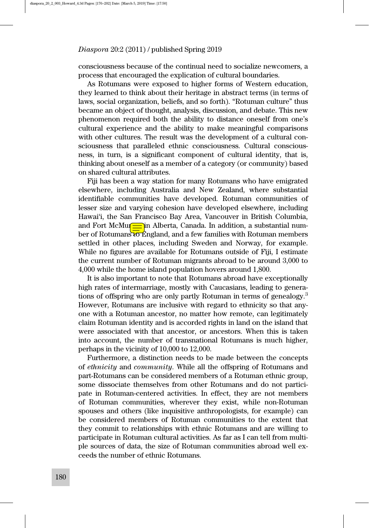consciousness because of the continual need to socialize newcomers, a process that encouraged the explication of cultural boundaries.

As Rotumans were exposed to higher forms of Western education, they learned to think about their heritage in abstract terms (in terms of laws, social organization, beliefs, and so forth). "Rotuman culture" thus became an object of thought, analysis, discussion, and debate. This new phenomenon required both the ability to distance oneself from one's cultural experience and the ability to make meaningful comparisons with other cultures. The result was the development of a cultural consciousness that paralleled ethnic consciousness. Cultural consciousness, in turn, is a significant component of cultural identity, that is, thinking about oneself as a member of a category (or community) based on shared cultural attributes.

Fiji has been a way station for many Rotumans who have emigrated elsewhere, including Australia and New Zealand, where substantial identifiable communities have developed. Rotuman communities of lesser size and varying cohesion have developed elsewhere, including Hawai'i, the San Francisco Bay Area, Vancouver in British Columbia, and Fort McMurray in Alberta, Canada. In addition, a substantial number of Rotumans to England, and a few families with Rotuman members settled in other places, including Sweden and Norway, for example. While no figures are available for Rotumans outside of Fiji, I estimate the current number of Rotuman migrants abroad to be around 3,000 to 4,000 while the home island population hovers around 1,800.

It is also important to note that Rotumans abroad have exceptionally high rates of intermarriage, mostly with Caucasians, leading to generations of offspring who are only partly Rotuman in terms of genealogy.<sup>3</sup> However, Rotumans are inclusive with regard to ethnicity so that anyone with a Rotuman ancestor, no matter how remote, can legitimately claim Rotuman identity and is accorded rights in land on the island that were associated with that ancestor, or ancestors. When this is taken into account, the number of transnational Rotumans is much higher, perhaps in the vicinity of 10,000 to 12,000.

Furthermore, a distinction needs to be made between the concepts of ethnicity and community. While all the offspring of Rotumans and part-Rotumans can be considered members of a Rotuman ethnic group, some dissociate themselves from other Rotumans and do not participate in Rotuman-centered activities. In effect, they are not members of Rotuman communities, wherever they exist, while non-Rotuman spouses and others (like inquisitive anthropologists, for example) can be considered members of Rotuman communities to the extent that they commit to relationships with ethnic Rotumans and are willing to participate in Rotuman cultural activities. As far as I can tell from multiple sources of data, the size of Rotuman communities abroad well exceeds the number of ethnic Rotumans.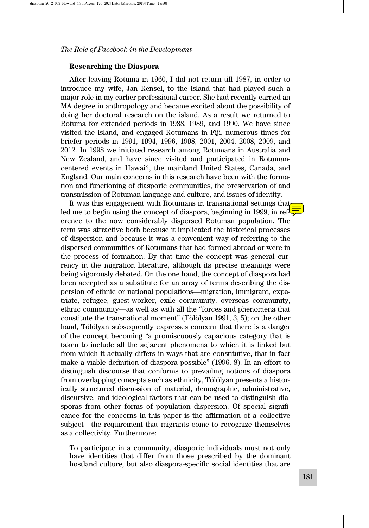#### Researching the Diaspora

After leaving Rotuma in 1960, I did not return till 1987, in order to introduce my wife, Jan Rensel, to the island that had played such a major role in my earlier professional career. She had recently earned an MA degree in anthropology and became excited about the possibility of doing her doctoral research on the island. As a result we returned to Rotuma for extended periods in 1988, 1989, and 1990. We have since visited the island, and engaged Rotumans in Fiji, numerous times for briefer periods in 1991, 1994, 1996, 1998, 2001, 2004, 2008, 2009, and 2012. In 1998 we initiated research among Rotumans in Australia and New Zealand, and have since visited and participated in Rotumancentered events in Hawai'i, the mainland United States, Canada, and England. Our main concerns in this research have been with the formation and functioning of diasporic communities, the preservation of and transmission of Rotuman language and culture, and issues of identity.

It was this engagement with Rotumans in transnational settings that led me to begin using the concept of diaspora, beginning in 1999, in reference to the now considerably dispersed Rotuman population. The term was attractive both because it implicated the historical processes of dispersion and because it was a convenient way of referring to the dispersed communities of Rotumans that had formed abroad or were in the process of formation. By that time the concept was general currency in the migration literature, although its precise meanings were being vigorously debated. On the one hand, the concept of diaspora had been accepted as a substitute for an array of terms describing the dispersion of ethnic or national populations—migration, immigrant, expatriate, refugee, guest-worker, exile community, overseas community, ethnic community—as well as with all the "forces and phenomena that constitute the transnational moment" (Tölölyan 1991, 3, 5); on the other hand, Tölölyan subsequently expresses concern that there is a danger of the concept becoming "a promiscuously capacious category that is taken to include all the adjacent phenomena to which it is linked but from which it actually differs in ways that are constitutive, that in fact make a viable definition of diaspora possible" (1996, 8). In an effort to distinguish discourse that conforms to prevailing notions of diaspora from overlapping concepts such as ethnicity, Tölölyan presents a historically structured discussion of material, demographic, administrative, discursive, and ideological factors that can be used to distinguish diasporas from other forms of population dispersion. Of special significance for the concerns in this paper is the affirmation of a collective subject—the requirement that migrants come to recognize themselves as a collectivity. Furthermore:

To participate in a community, diasporic individuals must not only have identities that differ from those prescribed by the dominant hostland culture, but also diaspora-specific social identities that are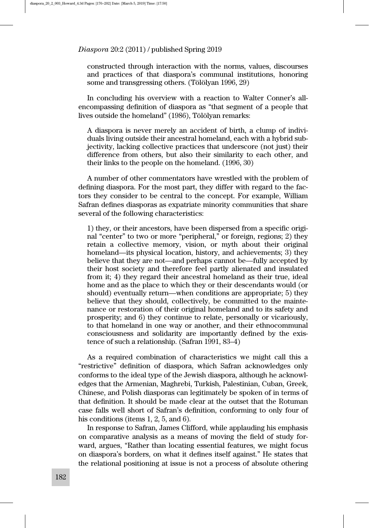constructed through interaction with the norms, values, discourses and practices of that diaspora's communal institutions, honoring some and transgressing others. (Tölölyan 1996, 29)

In concluding his overview with a reaction to Walter Conner's allencompassing definition of diaspora as "that segment of a people that lives outside the homeland" (1986), Tölölyan remarks:

A diaspora is never merely an accident of birth, a clump of individuals living outside their ancestral homeland, each with a hybrid subjectivity, lacking collective practices that underscore (not just) their difference from others, but also their similarity to each other, and their links to the people on the homeland. (1996, 30)

A number of other commentators have wrestled with the problem of defining diaspora. For the most part, they differ with regard to the factors they consider to be central to the concept. For example, William Safran defines diasporas as expatriate minority communities that share several of the following characteristics:

1) they, or their ancestors, have been dispersed from a specific original "center" to two or more "peripheral," or foreign, regions; 2) they retain a collective memory, vision, or myth about their original homeland—its physical location, history, and achievements; 3) they believe that they are not—and perhaps cannot be—fully accepted by their host society and therefore feel partly alienated and insulated from it; 4) they regard their ancestral homeland as their true, ideal home and as the place to which they or their descendants would (or should) eventually return—when conditions are appropriate; 5) they believe that they should, collectively, be committed to the maintenance or restoration of their original homeland and to its safety and prosperity; and 6) they continue to relate, personally or vicariously, to that homeland in one way or another, and their ethnocommunal consciousness and solidarity are importantly defined by the existence of such a relationship. (Safran 1991, 83–4)

As a required combination of characteristics we might call this a "restrictive" definition of diaspora, which Safran acknowledges only conforms to the ideal type of the Jewish diaspora, although he acknowledges that the Armenian, Maghrebi, Turkish, Palestinian, Cuban, Greek, Chinese, and Polish diasporas can legitimately be spoken of in terms of that definition. It should be made clear at the outset that the Rotuman case falls well short of Safran's definition, conforming to only four of his conditions (items 1, 2, 5, and 6).

In response to Safran, James Clifford, while applauding his emphasis on comparative analysis as a means of moving the field of study forward, argues, "Rather than locating essential features, we might focus on diaspora's borders, on what it defines itself against." He states that the relational positioning at issue is not a process of absolute othering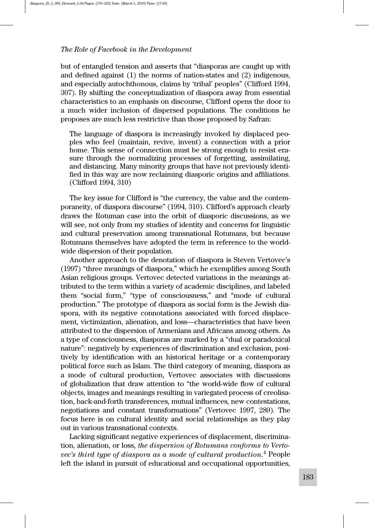but of entangled tension and asserts that "diasporas are caught up with and defined against (1) the norms of nation-states and (2) indigenous, and especially autochthonous, claims by 'tribal' peoples" (Clifford 1994, 307). By shifting the conceptualization of diaspora away from essential characteristics to an emphasis on discourse, Clifford opens the door to a much wider inclusion of dispersed populations. The conditions he proposes are much less restrictive than those proposed by Safran:

The language of diaspora is increasingly invoked by displaced peoples who feel (maintain, revive, invent) a connection with a prior home. This sense of connection must be strong enough to resist erasure through the normalizing processes of forgetting, assimilating, and distancing. Many minority groups that have not previously identified in this way are now reclaiming diasporic origins and affiliations. (Clifford 1994, 310)

The key issue for Clifford is "the currency, the value and the contemporaneity, of diaspora discourse" (1994, 310). Clifford's approach clearly draws the Rotuman case into the orbit of diasporic discussions, as we will see, not only from my studies of identity and concerns for linguistic and cultural preservation among transnational Rotumans, but because Rotumans themselves have adopted the term in reference to the worldwide dispersion of their population.

Another approach to the denotation of diaspora is Steven Vertovec's (1997) "three meanings of diaspora," which he exemplifies among South Asian religious groups. Vertovec detected variations in the meanings attributed to the term within a variety of academic disciplines, and labeled them "social form," "type of consciousness," and "mode of cultural production." The prototype of diaspora as social form is the Jewish diaspora, with its negative connotations associated with forced displacement, victimization, alienation, and loss—characteristics that have been attributed to the dispersion of Armenians and Africans among others. As a type of consciousness, diasporas are marked by a "dual or paradoxical nature": negatively by experiences of discrimination and exclusion, positively by identification with an historical heritage or a contemporary political force such as Islam. The third category of meaning, diaspora as a mode of cultural production, Vertovec associates with discussions of globalization that draw attention to "the world-wide flow of cultural objects, images and meanings resulting in variegated process of creolisation, back-and-forth transferences, mutual influences, new contestations, negotiations and constant transformations" (Vertovec 1997, 289). The focus here is on cultural identity and social relationships as they play out in various transnational contexts.

Lacking significant negative experiences of displacement, discrimination, alienation, or loss, the dispersion of Rotumans conforms to Vertovec's third type of diaspora as a mode of cultural production. $^4$  People left the island in pursuit of educational and occupational opportunities,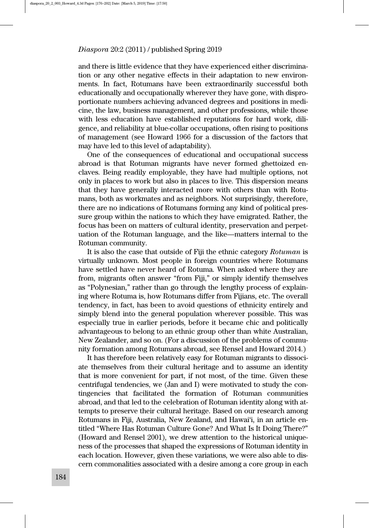and there is little evidence that they have experienced either discrimination or any other negative effects in their adaptation to new environments. In fact, Rotumans have been extraordinarily successful both educationally and occupationally wherever they have gone, with disproportionate numbers achieving advanced degrees and positions in medicine, the law, business management, and other professions, while those with less education have established reputations for hard work, diligence, and reliability at blue-collar occupations, often rising to positions of management (see Howard 1966 for a discussion of the factors that may have led to this level of adaptability).

One of the consequences of educational and occupational success abroad is that Rotuman migrants have never formed ghettoized enclaves. Being readily employable, they have had multiple options, not only in places to work but also in places to live. This dispersion means that they have generally interacted more with others than with Rotumans, both as workmates and as neighbors. Not surprisingly, therefore, there are no indications of Rotumans forming any kind of political pressure group within the nations to which they have emigrated. Rather, the focus has been on matters of cultural identity, preservation and perpetuation of the Rotuman language, and the like—matters internal to the Rotuman community.

It is also the case that outside of Fiji the ethnic category Rotuman is virtually unknown. Most people in foreign countries where Rotumans have settled have never heard of Rotuma. When asked where they are from, migrants often answer "from Fiji," or simply identify themselves as "Polynesian," rather than go through the lengthy process of explaining where Rotuma is, how Rotumans differ from Fijians, etc. The overall tendency, in fact, has been to avoid questions of ethnicity entirely and simply blend into the general population wherever possible. This was especially true in earlier periods, before it became chic and politically advantageous to belong to an ethnic group other than white Australian, New Zealander, and so on. (For a discussion of the problems of community formation among Rotumans abroad, see Rensel and Howard 2014.)

It has therefore been relatively easy for Rotuman migrants to dissociate themselves from their cultural heritage and to assume an identity that is more convenient for part, if not most, of the time. Given these centrifugal tendencies, we (Jan and I) were motivated to study the contingencies that facilitated the formation of Rotuman communities abroad, and that led to the celebration of Rotuman identity along with attempts to preserve their cultural heritage. Based on our research among Rotumans in Fiji, Australia, New Zealand, and Hawai'i, in an article entitled "Where Has Rotuman Culture Gone? And What Is It Doing There?" (Howard and Rensel 2001), we drew attention to the historical uniqueness of the processes that shaped the expressions of Rotuman identity in each location. However, given these variations, we were also able to discern commonalities associated with a desire among a core group in each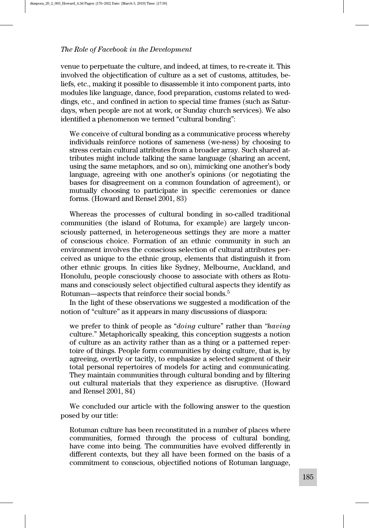venue to perpetuate the culture, and indeed, at times, to re-create it. This involved the objectification of culture as a set of customs, attitudes, beliefs, etc., making it possible to disassemble it into component parts, into modules like language, dance, food preparation, customs related to weddings, etc., and confined in action to special time frames (such as Saturdays, when people are not at work, or Sunday church services). We also identified a phenomenon we termed "cultural bonding":

We conceive of cultural bonding as a communicative process whereby individuals reinforce notions of sameness (we-ness) by choosing to stress certain cultural attributes from a broader array. Such shared attributes might include talking the same language (sharing an accent, using the same metaphors, and so on), mimicking one another's body language, agreeing with one another's opinions (or negotiating the bases for disagreement on a common foundation of agreement), or mutually choosing to participate in specific ceremonies or dance forms. (Howard and Rensel 2001, 83)

Whereas the processes of cultural bonding in so-called traditional communities (the island of Rotuma, for example) are largely unconsciously patterned, in heterogeneous settings they are more a matter of conscious choice. Formation of an ethnic community in such an environment involves the conscious selection of cultural attributes perceived as unique to the ethnic group, elements that distinguish it from other ethnic groups. In cities like Sydney, Melbourne, Auckland, and Honolulu, people consciously choose to associate with others as Rotumans and consciously select objectified cultural aspects they identify as Rotuman—aspects that reinforce their social bonds.<sup>5</sup>

In the light of these observations we suggested a modification of the notion of "culture" as it appears in many discussions of diaspora:

we prefer to think of people as "doing culture" rather than "having culture." Metaphorically speaking, this conception suggests a notion of culture as an activity rather than as a thing or a patterned repertoire of things. People form communities by doing culture, that is, by agreeing, overtly or tacitly, to emphasize a selected segment of their total personal repertoires of models for acting and communicating. They maintain communities through cultural bonding and by filtering out cultural materials that they experience as disruptive. (Howard and Rensel 2001, 84)

We concluded our article with the following answer to the question posed by our title:

Rotuman culture has been reconstituted in a number of places where communities, formed through the process of cultural bonding, have come into being. The communities have evolved differently in different contexts, but they all have been formed on the basis of a commitment to conscious, objectified notions of Rotuman language,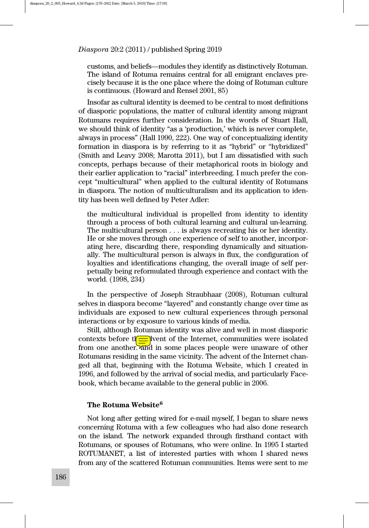customs, and beliefs—modules they identify as distinctively Rotuman. The island of Rotuma remains central for all emigrant enclaves precisely because it is the one place where the doing of Rotuman culture is continuous. (Howard and Rensel 2001, 85)

Insofar as cultural identity is deemed to be central to most definitions of diasporic populations, the matter of cultural identity among migrant Rotumans requires further consideration. In the words of Stuart Hall, we should think of identity "as a 'production,' which is never complete, always in process" (Hall 1990, 222). One way of conceptualizing identity formation in diaspora is by referring to it as "hybrid" or "hybridized" (Smith and Leavy 2008; Marotta 2011), but I am dissatisfied with such concepts, perhaps because of their metaphorical roots in biology and their earlier application to "racial" interbreeding. I much prefer the concept "multicultural" when applied to the cultural identity of Rotumans in diaspora. The notion of multiculturalism and its application to identity has been well defined by Peter Adler:

the multicultural individual is propelled from identity to identity through a process of both cultural learning and cultural un-learning. The multicultural person . . . is always recreating his or her identity. He or she moves through one experience of self to another, incorporating here, discarding there, responding dynamically and situationally. The multicultural person is always in flux, the configuration of loyalties and identifications changing, the overall image of self perpetually being reformulated through experience and contact with the world. (1998, 234)

In the perspective of Joseph Straubhaar (2008), Rotuman cultural selves in diaspora become "layered" and constantly change over time as individuals are exposed to new cultural experiences through personal interactions or by exposure to various kinds of media.

Still, although Rotuman identity was alive and well in most diasporic contexts before the advent of the Internet, communities were isolated from one another. and in some places people were unaware of other Rotumans residing in the same vicinity. The advent of the Internet changed all that, beginning with the Rotuma Website, which I created in 1996, and followed by the arrival of social media, and particularly Facebook, which became available to the general public in 2006.

# The Rotuma Website<sup>6</sup>

Not long after getting wired for e-mail myself, I began to share news concerning Rotuma with a few colleagues who had also done research on the island. The network expanded through firsthand contact with Rotumans, or spouses of Rotumans, who were online. In 1995 I started ROTUMANET, a list of interested parties with whom I shared news from any of the scattered Rotuman communities. Items were sent to me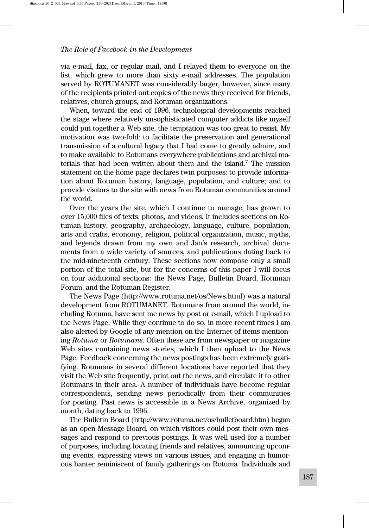via e-mail, fax, or regular mail, and I relayed them to everyone on the list, which grew to more than sixty e-mail addresses. The population served by ROTUMANET was considerably larger, however, since many of the recipients printed out copies of the news they received for friends, relatives, church groups, and Rotuman organizations.

When, toward the end of 1996, technological developments reached the stage where relatively unsophisticated computer addicts like myself could put together a Web site, the temptation was too great to resist. My motivation was two-fold: to facilitate the preservation and generational transmission of a cultural legacy that I had come to greatly admire, and to make available to Rotumans everywhere publications and archival materials that had been written about them and the island.7 The mission statement on the home page declares twin purposes: to provide information about Rotuman history, language, population, and culture; and to provide visitors to the site with news from Rotuman communities around the world.

Over the years the site, which I continue to manage, has grown to over 15,000 files of texts, photos, and videos. It includes sections on Rotuman history, geography, archaeology, language, culture, population, arts and crafts, economy, religion, political organization, music, myths, and legends drawn from my own and Jan's research, archival documents from a wide variety of sources, and publications dating back to the mid-nineteenth century. These sections now compose only a small portion of the total site, but for the concerns of this paper I will focus on four additional sections: the News Page, Bulletin Board, Rotuman Forum, and the Rotuman Register.

The News Page (http://www.rotuma.net/os/News.html) was a natural development from ROTUMANET. Rotumans from around the world, including Rotuma, have sent me news by post or e-mail, which I upload to the News Page. While they continue to do so, in more recent times I am also alerted by Google of any mention on the Internet of items mentioning Rotuma or Rotumans. Often these are from newspaper or magazine Web sites containing news stories, which I then upload to the News Page. Feedback concerning the news postings has been extremely gratifying. Rotumans in several different locations have reported that they visit the Web site frequently, print out the news, and circulate it to other Rotumans in their area. A number of individuals have become regular correspondents, sending news periodically from their communities for posting. Past news is accessible in a News Archive, organized by month, dating back to 1996.

The Bulletin Board (http://www.rotuma.net/os/bulletboard.htm) began as an open Message Board, on which visitors could post their own messages and respond to previous postings. It was well used for a number of purposes, including locating friends and relatives, announcing upcoming events, expressing views on various issues, and engaging in humorous banter reminiscent of family gatherings on Rotuma. Individuals and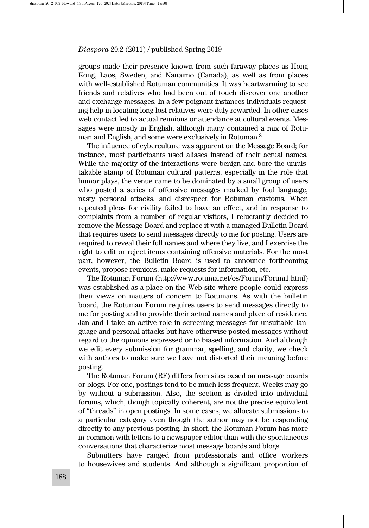groups made their presence known from such faraway places as Hong Kong, Laos, Sweden, and Nanaimo (Canada), as well as from places with well-established Rotuman communities. It was heartwarming to see friends and relatives who had been out of touch discover one another and exchange messages. In a few poignant instances individuals requesting help in locating long-lost relatives were duly rewarded. In other cases web contact led to actual reunions or attendance at cultural events. Messages were mostly in English, although many contained a mix of Rotuman and English, and some were exclusively in Rotuman.8

The influence of cyberculture was apparent on the Message Board; for instance, most participants used aliases instead of their actual names. While the majority of the interactions were benign and bore the unmistakable stamp of Rotuman cultural patterns, especially in the role that humor plays, the venue came to be dominated by a small group of users who posted a series of offensive messages marked by foul language, nasty personal attacks, and disrespect for Rotuman customs. When repeated pleas for civility failed to have an effect, and in response to complaints from a number of regular visitors, I reluctantly decided to remove the Message Board and replace it with a managed Bulletin Board that requires users to send messages directly to me for posting. Users are required to reveal their full names and where they live, and I exercise the right to edit or reject items containing offensive materials. For the most part, however, the Bulletin Board is used to announce forthcoming events, propose reunions, make requests for information, etc.

The Rotuman Forum (http://www.rotuma.net/os/Forum/Forum1.html) was established as a place on the Web site where people could express their views on matters of concern to Rotumans. As with the bulletin board, the Rotuman Forum requires users to send messages directly to me for posting and to provide their actual names and place of residence. Jan and I take an active role in screening messages for unsuitable language and personal attacks but have otherwise posted messages without regard to the opinions expressed or to biased information. And although we edit every submission for grammar, spelling, and clarity, we check with authors to make sure we have not distorted their meaning before posting.

The Rotuman Forum (RF) differs from sites based on message boards or blogs. For one, postings tend to be much less frequent. Weeks may go by without a submission. Also, the section is divided into individual forums, which, though topically coherent, are not the precise equivalent of "threads" in open postings. In some cases, we allocate submissions to a particular category even though the author may not be responding directly to any previous posting. In short, the Rotuman Forum has more in common with letters to a newspaper editor than with the spontaneous conversations that characterize most message boards and blogs.

Submitters have ranged from professionals and office workers to housewives and students. And although a significant proportion of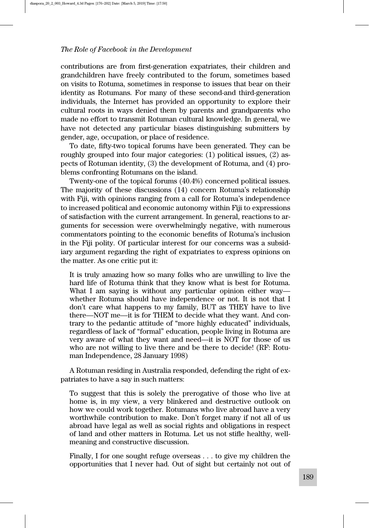contributions are from first-generation expatriates, their children and grandchildren have freely contributed to the forum, sometimes based on visits to Rotuma, sometimes in response to issues that bear on their identity as Rotumans. For many of these second-and third-generation individuals, the Internet has provided an opportunity to explore their cultural roots in ways denied them by parents and grandparents who made no effort to transmit Rotuman cultural knowledge. In general, we have not detected any particular biases distinguishing submitters by gender, age, occupation, or place of residence.

To date, fifty-two topical forums have been generated. They can be roughly grouped into four major categories: (1) political issues, (2) aspects of Rotuman identity, (3) the development of Rotuma, and (4) problems confronting Rotumans on the island.

Twenty-one of the topical forums (40.4%) concerned political issues. The majority of these discussions (14) concern Rotuma's relationship with Fiji, with opinions ranging from a call for Rotuma's independence to increased political and economic autonomy within Fiji to expressions of satisfaction with the current arrangement. In general, reactions to arguments for secession were overwhelmingly negative, with numerous commentators pointing to the economic benefits of Rotuma's inclusion in the Fiji polity. Of particular interest for our concerns was a subsidiary argument regarding the right of expatriates to express opinions on the matter. As one critic put it:

It is truly amazing how so many folks who are unwilling to live the hard life of Rotuma think that they know what is best for Rotuma. What I am saying is without any particular opinion either way whether Rotuma should have independence or not. It is not that I don't care what happens to my family, BUT as THEY have to live there—NOT me—it is for THEM to decide what they want. And contrary to the pedantic attitude of "more highly educated" individuals, regardless of lack of "formal" education, people living in Rotuma are very aware of what they want and need—it is NOT for those of us who are not willing to live there and be there to decide! (RF: Rotuman Independence, 28 January 1998)

A Rotuman residing in Australia responded, defending the right of expatriates to have a say in such matters:

To suggest that this is solely the prerogative of those who live at home is, in my view, a very blinkered and destructive outlook on how we could work together. Rotumans who live abroad have a very worthwhile contribution to make. Don't forget many if not all of us abroad have legal as well as social rights and obligations in respect of land and other matters in Rotuma. Let us not stifle healthy, wellmeaning and constructive discussion.

Finally, I for one sought refuge overseas . . . to give my children the opportunities that I never had. Out of sight but certainly not out of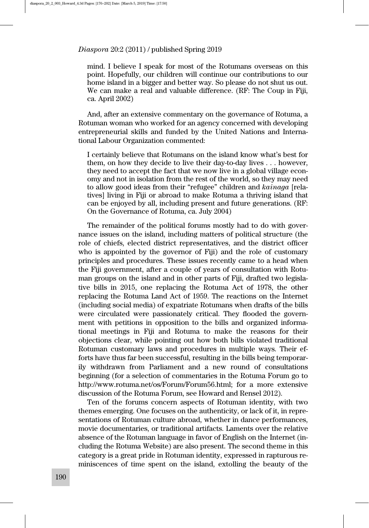mind. I believe I speak for most of the Rotumans overseas on this point. Hopefully, our children will continue our contributions to our home island in a bigger and better way. So please do not shut us out. We can make a real and valuable difference. (RF: The Coup in Fiji, ca. April 2002)

And, after an extensive commentary on the governance of Rotuma, a Rotuman woman who worked for an agency concerned with developing entrepreneurial skills and funded by the United Nations and International Labour Organization commented:

I certainly believe that Rotumans on the island know what's best for them, on how they decide to live their day-to-day lives . . . however, they need to accept the fact that we now live in a global village economy and not in isolation from the rest of the world, so they may need to allow good ideas from their "refugee" children and kainaga [relatives] living in Fiji or abroad to make Rotuma a thriving island that can be enjoyed by all, including present and future generations. (RF: On the Governance of Rotuma, ca. July 2004)

The remainder of the political forums mostly had to do with governance issues on the island, including matters of political structure (the role of chiefs, elected district representatives, and the district officer who is appointed by the governor of Fiji) and the role of customary principles and procedures. These issues recently came to a head when the Fiji government, after a couple of years of consultation with Rotuman groups on the island and in other parts of Fiji, drafted two legislative bills in 2015, one replacing the Rotuma Act of 1978, the other replacing the Rotuma Land Act of 1959. The reactions on the Internet (including social media) of expatriate Rotumans when drafts of the bills were circulated were passionately critical. They flooded the government with petitions in opposition to the bills and organized informational meetings in Fiji and Rotuma to make the reasons for their objections clear, while pointing out how both bills violated traditional Rotuman customary laws and procedures in multiple ways. Their efforts have thus far been successful, resulting in the bills being temporarily withdrawn from Parliament and a new round of consultations beginning (for a selection of commentaries in the Rotuma Forum go to http://www.rotuma.net/os/Forum/Forum56.html; for a more extensive discussion of the Rotuma Forum, see Howard and Rensel 2012).

Ten of the forums concern aspects of Rotuman identity, with two themes emerging. One focuses on the authenticity, or lack of it, in representations of Rotuman culture abroad, whether in dance performances, movie documentaries, or traditional artifacts. Laments over the relative absence of the Rotuman language in favor of English on the Internet (including the Rotuma Website) are also present. The second theme in this category is a great pride in Rotuman identity, expressed in rapturous reminiscences of time spent on the island, extolling the beauty of the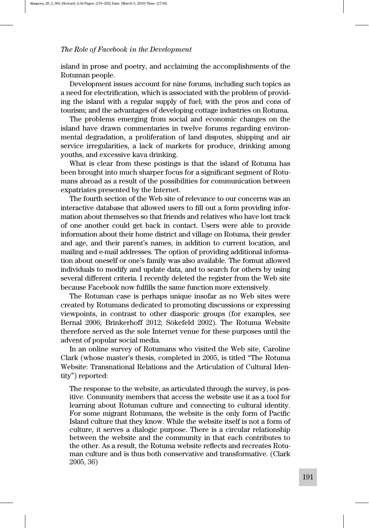island in prose and poetry, and acclaiming the accomplishments of the Rotuman people.

Development issues account for nine forums, including such topics as a need for electrification, which is associated with the problem of providing the island with a regular supply of fuel; with the pros and cons of tourism; and the advantages of developing cottage industries on Rotuma.

The problems emerging from social and economic changes on the island have drawn commentaries in twelve forums regarding environmental degradation, a proliferation of land disputes, shipping and air service irregularities, a lack of markets for produce, drinking among youths, and excessive kava drinking.

What is clear from these postings is that the island of Rotuma has been brought into much sharper focus for a significant segment of Rotumans abroad as a result of the possibilities for communication between expatriates presented by the Internet.

The fourth section of the Web site of relevance to our concerns was an interactive database that allowed users to fill out a form providing information about themselves so that friends and relatives who have lost track of one another could get back in contact. Users were able to provide information about their home district and village on Rotuma, their gender and age, and their parent's names, in addition to current location, and mailing and e-mail addresses. The option of providing additional information about oneself or one's family was also available. The format allowed individuals to modify and update data, and to search for others by using several different criteria. I recently deleted the register from the Web site because Facebook now fulfills the same function more extensively.

The Rotuman case is perhaps unique insofar as no Web sites were created by Rotumans dedicated to promoting discussions or expressing viewpoints, in contrast to other diasporic groups (for examples, see Bernal 2006; Brinkerhoff 2012; Sökefeld 2002). The Rotuma Website therefore served as the sole Internet venue for these purposes until the advent of popular social media.

In an online survey of Rotumans who visited the Web site, Caroline Clark (whose master's thesis, completed in 2005, is titled "The Rotuma Website: Transnational Relations and the Articulation of Cultural Identity") reported:

The response to the website, as articulated through the survey, is positive. Community members that access the website use it as a tool for learning about Rotuman culture and connecting to cultural identity. For some migrant Rotumans, the website is the only form of Pacific Island culture that they know. While the website itself is not a form of culture, it serves a dialogic purpose. There is a circular relationship between the website and the community in that each contributes to the other. As a result, the Rotuma website reflects and recreates Rotuman culture and is thus both conservative and transformative. (Clark 2005, 36)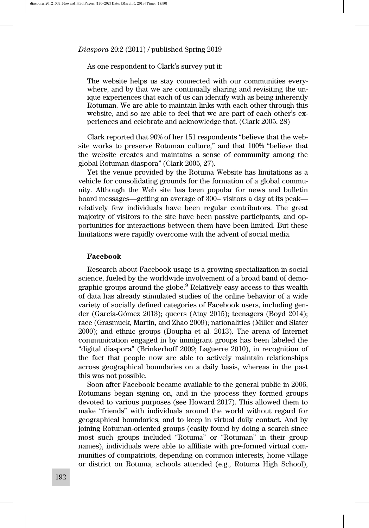#### As one respondent to Clark's survey put it:

The website helps us stay connected with our communities everywhere, and by that we are continually sharing and revisiting the unique experiences that each of us can identify with as being inherently Rotuman. We are able to maintain links with each other through this website, and so are able to feel that we are part of each other's experiences and celebrate and acknowledge that. (Clark 2005, 28)

Clark reported that 90% of her 151 respondents "believe that the website works to preserve Rotuman culture," and that 100% "believe that the website creates and maintains a sense of community among the global Rotuman diaspora" (Clark 2005, 27).

Yet the venue provided by the Rotuma Website has limitations as a vehicle for consolidating grounds for the formation of a global community. Although the Web site has been popular for news and bulletin board messages—getting an average of 300+ visitors a day at its peak relatively few individuals have been regular contributors. The great majority of visitors to the site have been passive participants, and opportunities for interactions between them have been limited. But these limitations were rapidly overcome with the advent of social media.

#### Facebook

Research about Facebook usage is a growing specialization in social science, fueled by the worldwide involvement of a broad band of demographic groups around the globe.<sup>9</sup> Relatively easy access to this wealth of data has already stimulated studies of the online behavior of a wide variety of socially defined categories of Facebook users, including gender (García-Gómez 2013); queers (Atay 2015); teenagers (Boyd 2014); race (Grasmuck, Martin, and Zhao 2009); nationalities (Miller and Slater 2000); and ethnic groups (Boupha et al. 2013). The arena of Internet communication engaged in by immigrant groups has been labeled the "digital diaspora" (Brinkerhoff 2009; Laguerre 2010), in recognition of the fact that people now are able to actively maintain relationships across geographical boundaries on a daily basis, whereas in the past this was not possible.

Soon after Facebook became available to the general public in 2006, Rotumans began signing on, and in the process they formed groups devoted to various purposes (see Howard 2017). This allowed them to make "friends" with individuals around the world without regard for geographical boundaries, and to keep in virtual daily contact. And by joining Rotuman-oriented groups (easily found by doing a search since most such groups included "Rotuma" or "Rotuman" in their group names), individuals were able to affiliate with pre-formed virtual communities of compatriots, depending on common interests, home village or district on Rotuma, schools attended (e.g., Rotuma High School),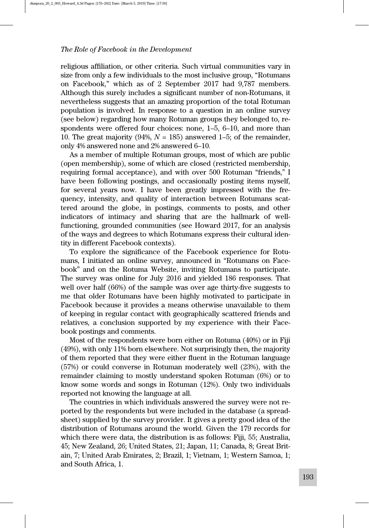religious affiliation, or other criteria. Such virtual communities vary in size from only a few individuals to the most inclusive group, "Rotumans on Facebook," which as of 2 September 2017 had 9,787 members. Although this surely includes a significant number of non-Rotumans, it nevertheless suggests that an amazing proportion of the total Rotuman population is involved. In response to a question in an online survey (see below) regarding how many Rotuman groups they belonged to, respondents were offered four choices: none, 1–5, 6–10, and more than 10. The great majority (94%,  $N = 185$ ) answered 1–5; of the remainder, only 4% answered none and 2% answered 6–10.

As a member of multiple Rotuman groups, most of which are public (open membership), some of which are closed (restricted membership, requiring formal acceptance), and with over 500 Rotuman "friends," I have been following postings, and occasionally posting items myself, for several years now. I have been greatly impressed with the frequency, intensity, and quality of interaction between Rotumans scattered around the globe, in postings, comments to posts, and other indicators of intimacy and sharing that are the hallmark of wellfunctioning, grounded communities (see Howard 2017, for an analysis of the ways and degrees to which Rotumans express their cultural identity in different Facebook contexts).

To explore the significance of the Facebook experience for Rotumans, I initiated an online survey, announced in "Rotumans on Facebook" and on the Rotuma Website, inviting Rotumans to participate. The survey was online for July 2016 and yielded 186 responses. That well over half (66%) of the sample was over age thirty-five suggests to me that older Rotumans have been highly motivated to participate in Facebook because it provides a means otherwise unavailable to them of keeping in regular contact with geographically scattered friends and relatives, a conclusion supported by my experience with their Facebook postings and comments.

Most of the respondents were born either on Rotuma (40%) or in Fiji (49%), with only 11% born elsewhere. Not surprisingly then, the majority of them reported that they were either fluent in the Rotuman language (57%) or could converse in Rotuman moderately well (23%), with the remainder claiming to mostly understand spoken Rotuman (6%) or to know some words and songs in Rotuman (12%). Only two individuals reported not knowing the language at all.

The countries in which individuals answered the survey were not reported by the respondents but were included in the database (a spreadsheet) supplied by the survey provider. It gives a pretty good idea of the distribution of Rotumans around the world. Given the 179 records for which there were data, the distribution is as follows: Fiji, 55; Australia, 45; New Zealand, 26; United States, 21; Japan, 11; Canada, 8; Great Britain, 7; United Arab Emirates, 2; Brazil, 1; Vietnam, 1; Western Samoa, 1; and South Africa, 1.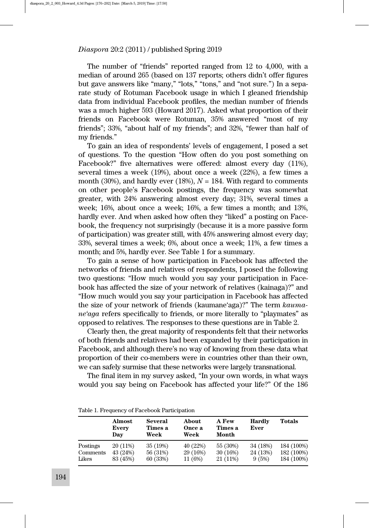The number of "friends" reported ranged from 12 to 4,000, with a median of around 265 (based on 137 reports; others didn't offer figures but gave answers like "many," "lots," "tons," and "not sure.") In a separate study of Rotuman Facebook usage in which I gleaned friendship data from individual Facebook profiles, the median number of friends was a much higher 593 (Howard 2017). Asked what proportion of their friends on Facebook were Rotuman, 35% answered "most of my friends"; 33%, "about half of my friends"; and 32%, "fewer than half of my friends."

To gain an idea of respondents' levels of engagement, I posed a set of questions. To the question "How often do you post something on Facebook?" five alternatives were offered: almost every day (11%), several times a week (19%), about once a week (22%), a few times a month (30%), and hardly ever (18%),  $N = 184$ . With regard to comments on other people's Facebook postings, the frequency was somewhat greater, with 24% answering almost every day; 31%, several times a week; 16%, about once a week; 16%, a few times a month; and 13%, hardly ever. And when asked how often they "liked" a posting on Facebook, the frequency not surprisingly (because it is a more passive form of participation) was greater still, with 45% answering almost every day; 33%, several times a week; 6%, about once a week; 11%, a few times a month; and 5%, hardly ever. See Table 1 for a summary.

To gain a sense of how participation in Facebook has affected the networks of friends and relatives of respondents, I posed the following two questions: "How much would you say your participation in Facebook has affected the size of your network of relatives (kainaga)?" and "How much would you say your participation in Facebook has affected the size of your network of friends (kaumane'aga)?" The term kaumane'aga refers specifically to friends, or more literally to "playmates" as opposed to relatives. The responses to these questions are in Table 2.

Clearly then, the great majority of respondents felt that their networks of both friends and relatives had been expanded by their participation in Facebook, and although there's no way of knowing from these data what proportion of their co-members were in countries other than their own, we can safely surmise that these networks were largely transnational.

The final item in my survey asked, "In your own words, in what ways would you say being on Facebook has affected your life?" Of the 186

|  | Table 1. Frequency of Facebook Participation |
|--|----------------------------------------------|
|--|----------------------------------------------|

|          | Almost<br>Every<br>Dav | Several<br>Times a<br>Week | About<br>Once a<br>Week | <b>A Few</b><br>Times a<br>Month | <b>Hardly</b><br>Ever | Totals     |
|----------|------------------------|----------------------------|-------------------------|----------------------------------|-----------------------|------------|
| Postings | 20 (11%)               | 35 (19%)                   | 40 (22%)                | 55 (30%)                         | 34 (18%)              | 184 (100%) |
| Comments | 43 (24%)               | 56 (31%)                   | 29 (16%)                | 30 (16%)                         | 24 (13%)              | 182 (100%) |
| Likes    | 83 (45%)               | 60 (33%)                   | 11 (6%)                 | 21 (11%)                         | 9(5%)                 | 184 (100%) |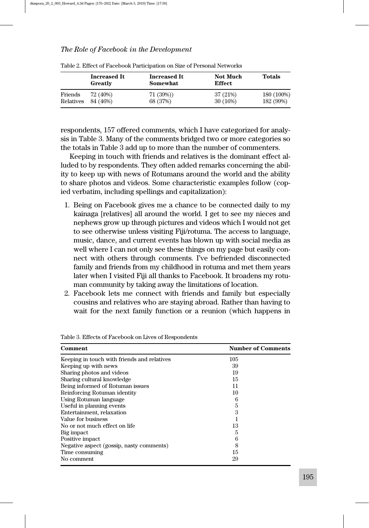|           | <b>Increased It</b><br>Greatly | <b>Increased It</b><br>Somewhat | <b>Not Much</b><br><b>Effect</b> | Totals     |
|-----------|--------------------------------|---------------------------------|----------------------------------|------------|
| Friends   | 72 (40%)                       | 71(39%)                         | 37 (21%)                         | 180 (100%) |
| Relatives | 84 (46%)                       | 68 (37%)                        | 30 (16%)                         | 182 (99%)  |

Table 2. Effect of Facebook Participation on Size of Personal Networks

respondents, 157 offered comments, which I have categorized for analysis in Table 3. Many of the comments bridged two or more categories so the totals in Table 3 add up to more than the number of commenters.

Keeping in touch with friends and relatives is the dominant effect alluded to by respondents. They often added remarks concerning the ability to keep up with news of Rotumans around the world and the ability to share photos and videos. Some characteristic examples follow (copied verbatim, including spellings and capitalization):

- 1. Being on Facebook gives me a chance to be connected daily to my kainaga [relatives] all around the world. I get to see my nieces and nephews grow up through pictures and videos which I would not get to see otherwise unless visiting Fiji/rotuma. The access to language, music, dance, and current events has blown up with social media as well where I can not only see these things on my page but easily connect with others through comments. I've befriended disconnected family and friends from my childhood in rotuma and met them years later when I visited Fiji all thanks to Facebook. It broadens my rotuman community by taking away the limitations of location.
- 2. Facebook lets me connect with friends and family but especially cousins and relatives who are staying abroad. Rather than having to wait for the next family function or a reunion (which happens in

| Comment                                     | <b>Number of Comments</b> |
|---------------------------------------------|---------------------------|
| Keeping in touch with friends and relatives | 105                       |
| Keeping up with news                        | 39                        |
| Sharing photos and videos                   | 19                        |
| Sharing cultural knowledge                  | 15                        |
| Being informed of Rotuman issues            | 11                        |
| Reinforcing Rotuman identity                | 10                        |
| Using Rotuman language                      | 6                         |
| Useful in planning events                   | 5                         |
| Entertainment, relaxation                   | 3                         |
| Value for business                          |                           |
| No or not much effect on life               | 13                        |
| Big impact                                  | 5                         |
| Positive impact                             | 6                         |
| Negative aspect (gossip, nasty comments)    | 8                         |
| Time consuming                              | 15                        |
| No comment                                  | 29                        |

Table 3. Effects of Facebook on Lives of Respondents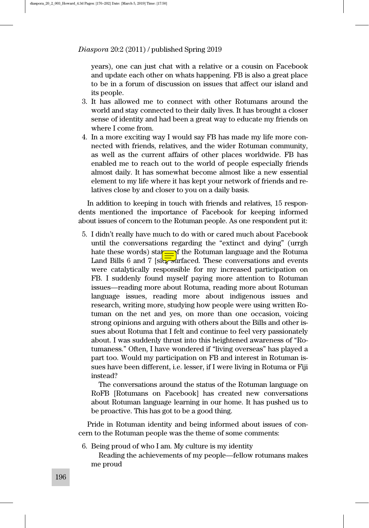years), one can just chat with a relative or a cousin on Facebook and update each other on whats happening. FB is also a great place to be in a forum of discussion on issues that affect our island and its people.

- 3. It has allowed me to connect with other Rotumans around the world and stay connected to their daily lives. It has brought a closer sense of identity and had been a great way to educate my friends on where I come from.
- 4. In a more exciting way I would say FB has made my life more connected with friends, relatives, and the wider Rotuman community, as well as the current affairs of other places worldwide. FB has enabled me to reach out to the world of people especially friends almost daily. It has somewhat become almost like a new essential element to my life where it has kept your network of friends and relatives close by and closer to you on a daily basis.

In addition to keeping in touch with friends and relatives, 15 respondents mentioned the importance of Facebook for keeping informed about issues of concern to the Rotuman people. As one respondent put it:

5. I didn't really have much to do with or cared much about Facebook until the conversations regarding the "extinct and dying" (urrgh hate these words) stat $\equiv$  f the Rotuman language and the Rotuma Land Bills 6 and 7 [si $\sqrt{3}$  surfaced. These conversations and events were catalytically responsible for my increased participation on FB. I suddenly found myself paying more attention to Rotuman issues—reading more about Rotuma, reading more about Rotuman language issues, reading more about indigenous issues and research, writing more, studying how people were using written Rotuman on the net and yes, on more than one occasion, voicing strong opinions and arguing with others about the Bills and other issues about Rotuma that I felt and continue to feel very passionately about. I was suddenly thrust into this heightened awareness of "Rotumaness." Often, I have wondered if "living overseas" has played a part too. Would my participation on FB and interest in Rotuman issues have been different, i.e. lesser, if I were living in Rotuma or Fiji instead?

The conversations around the status of the Rotuman language on RoFB [Rotumans on Facebook] has created new conversations about Rotuman language learning in our home. It has pushed us to be proactive. This has got to be a good thing.

Pride in Rotuman identity and being informed about issues of concern to the Rotuman people was the theme of some comments:

6. Being proud of who I am. My culture is my identity

Reading the achievements of my people—fellow rotumans makes me proud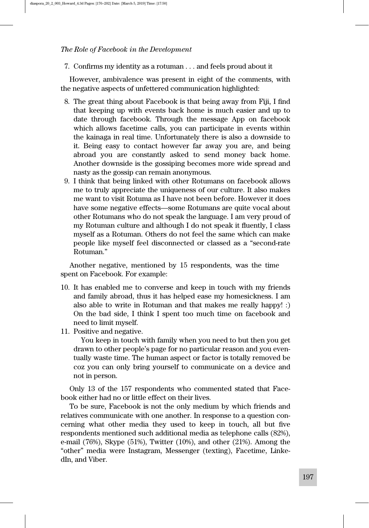7. Confirms my identity as a rotuman . . . and feels proud about it

However, ambivalence was present in eight of the comments, with the negative aspects of unfettered communication highlighted:

- 8. The great thing about Facebook is that being away from Fiji, I find that keeping up with events back home is much easier and up to date through facebook. Through the message App on facebook which allows facetime calls, you can participate in events within the kainaga in real time. Unfortunately there is also a downside to it. Being easy to contact however far away you are, and being abroad you are constantly asked to send money back home. Another downside is the gossiping becomes more wide spread and nasty as the gossip can remain anonymous.
- 9. I think that being linked with other Rotumans on facebook allows me to truly appreciate the uniqueness of our culture. It also makes me want to visit Rotuma as I have not been before. However it does have some negative effects—some Rotumans are quite vocal about other Rotumans who do not speak the language. I am very proud of my Rotuman culture and although I do not speak it fluently, I class myself as a Rotuman. Others do not feel the same which can make people like myself feel disconnected or classed as a "second-rate Rotuman."

Another negative, mentioned by 15 respondents, was the time spent on Facebook. For example:

- 10. It has enabled me to converse and keep in touch with my friends and family abroad, thus it has helped ease my homesickness. I am also able to write in Rotuman and that makes me really happy! :) On the bad side, I think I spent too much time on facebook and need to limit myself.
- 11. Positive and negative.

You keep in touch with family when you need to but then you get drawn to other people's page for no particular reason and you eventually waste time. The human aspect or factor is totally removed be coz you can only bring yourself to communicate on a device and not in person.

Only 13 of the 157 respondents who commented stated that Facebook either had no or little effect on their lives.

To be sure, Facebook is not the only medium by which friends and relatives communicate with one another. In response to a question concerning what other media they used to keep in touch, all but five respondents mentioned such additional media as telephone calls (82%), e-mail (76%), Skype (51%), Twitter (10%), and other (21%). Among the "other" media were Instagram, Messenger (texting), Facetime, LinkedIn, and Viber.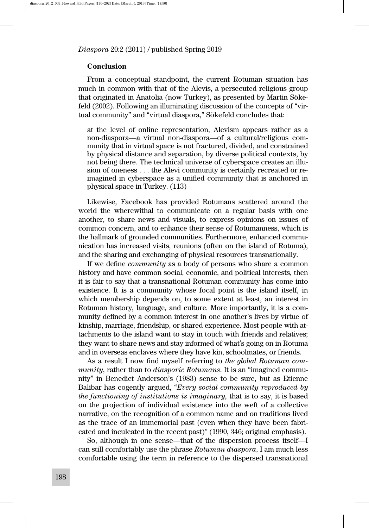#### Conclusion

From a conceptual standpoint, the current Rotuman situation has much in common with that of the Alevis, a persecuted religious group that originated in Anatolia (now Turkey), as presented by Martin Sökefeld (2002). Following an illuminating discussion of the concepts of "virtual community" and "virtual diaspora," Sökefeld concludes that:

at the level of online representation, Alevism appears rather as a non-diaspora—a virtual non-diaspora—of a cultural/religious community that in virtual space is not fractured, divided, and constrained by physical distance and separation, by diverse political contexts, by not being there. The technical universe of cyberspace creates an illusion of oneness . . . the Alevi community is certainly recreated or reimagined in cyberspace as a unified community that is anchored in physical space in Turkey. (113)

Likewise, Facebook has provided Rotumans scattered around the world the wherewithal to communicate on a regular basis with one another, to share news and visuals, to express opinions on issues of common concern, and to enhance their sense of Rotumanness, which is the hallmark of grounded communities. Furthermore, enhanced communication has increased visits, reunions (often on the island of Rotuma), and the sharing and exchanging of physical resources transnationally.

If we define community as a body of persons who share a common history and have common social, economic, and political interests, then it is fair to say that a transnational Rotuman community has come into existence. It is a community whose focal point is the island itself, in which membership depends on, to some extent at least, an interest in Rotuman history, language, and culture. More importantly, it is a community defined by a common interest in one another's lives by virtue of kinship, marriage, friendship, or shared experience. Most people with attachments to the island want to stay in touch with friends and relatives; they want to share news and stay informed of what's going on in Rotuma and in overseas enclaves where they have kin, schoolmates, or friends.

As a result I now find myself referring to the global Rotuman community, rather than to diasporic Rotumans. It is an "imagined community" in Benedict Anderson's (1983) sense to be sure, but as Etienne Balibar has cogently argued, "Every social community reproduced by the functioning of institutions is imaginary, that is to say, it is based on the projection of individual existence into the weft of a collective narrative, on the recognition of a common name and on traditions lived as the trace of an immemorial past (even when they have been fabricated and inculcated in the recent past)" (1990, 346; original emphasis).

So, although in one sense—that of the dispersion process itself—I can still comfortably use the phrase Rotuman diaspora, I am much less comfortable using the term in reference to the dispersed transnational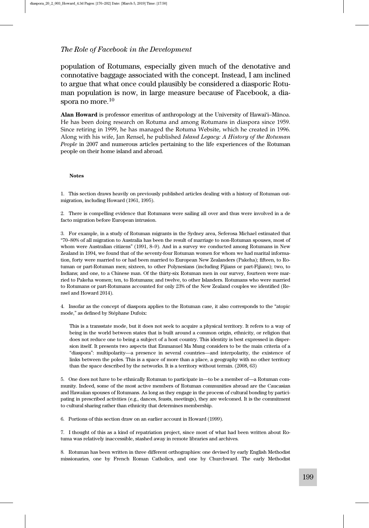population of Rotumans, especially given much of the denotative and connotative baggage associated with the concept. Instead, I am inclined to argue that what once could plausibly be considered a diasporic Rotuman population is now, in large measure because of Facebook, a diaspora no more.<sup>10</sup>

Alan Howard is professor emeritus of anthropology at the University of Hawai'i–Mānoa. He has been doing research on Rotuma and among Rotumans in diaspora since 1959. Since retiring in 1999, he has managed the Rotuma Website, which he created in 1996. Along with his wife, Jan Rensel, he published Island Legacy: A History of the Rotuman People in 2007 and numerous articles pertaining to the life experiences of the Rotuman people on their home island and abroad.

#### Notes

1. This section draws heavily on previously published articles dealing with a history of Rotuman outmigration, including Howard (1961, 1995).

2. There is compelling evidence that Rotumans were sailing all over and thus were involved in a de facto migration before European intrusion.

3. For example, in a study of Rotuman migrants in the Sydney area, Seferosa Michael estimated that "70–80% of all migration to Australia has been the result of marriage to non-Rotuman spouses, most of whom were Australian citizens" (1991, 8–9). And in a survey we conducted among Rotumans in New Zealand in 1994, we found that of the seventy-four Rotuman women for whom we had marital information, forty were married to or had been married to European New Zealanders (Pakeha); fifteen, to Rotuman or part-Rotuman men; sixteen, to other Polynesians (including Fijians or part-Fijians); two, to Indians; and one, to a Chinese man. Of the thirty-six Rotuman men in our survey, fourteen were married to Pakeha women; ten, to Rotumans; and twelve, to other Islanders. Rotumans who were married to Rotumans or part-Rotumans accounted for only 23% of the New Zealand couples we identified (Rensel and Howard 2014).

4. Insofar as the concept of diaspora applies to the Rotuman case, it also corresponds to the "atopic mode," as defined by Stéphane Dufoix:

This is a transstate mode, but it does not seek to acquire a physical territory. It refers to a way of being in the world between states that is built around a common origin, ethnicity, or religion that does not reduce one to being a subject of a host country. This identity is best expressed in dispersion itself. It presents two aspects that Emmanuel Ma Mung considers to be the main criteria of a "diaspora": multipolarity—a presence in several countries—and interpolarity, the existence of links between the poles. This is a space of more than a place, a geography with no other territory than the space described by the networks. It is a territory without terrain. (2008, 63)

5. One does not have to be ethnically Rotuman to participate in—to be a member of—a Rotuman community. Indeed, some of the most active members of Rotuman communities abroad are the Caucasian and Hawaiian spouses of Rotumans. As long as they engage in the process of cultural bonding by participating in prescribed activities (e.g., dances, feasts, meetings), they are welcomed. It is the commitment to cultural sharing rather than ethnicity that determines membership.

6. Portions of this section draw on an earlier account in Howard (1999).

7. I thought of this as a kind of repatriation project, since most of what had been written about Rotuma was relatively inaccessible, stashed away in remote libraries and archives.

8. Rotuman has been written in three different orthographies: one devised by early English Methodist missionaries, one by French Roman Catholics, and one by Churchward. The early Methodist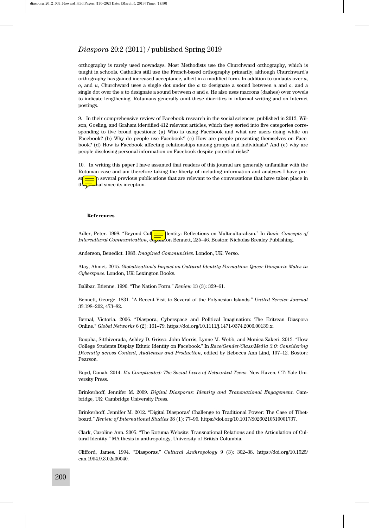orthography is rarely used nowadays. Most Methodists use the Churchward orthography, which is taught in schools. Catholics still use the French-based orthography primarily, although Churchward's orthography has gained increased acceptance, albeit in a modified form. In addition to umlauts over a,  $o$ , and  $u$ , Churchward uses a single dot under the  $a$  to designate a sound between  $a$  and  $o$ , and a single dot over the  $a$  to designate a sound between  $a$  and  $e$ . He also uses macrons (dashes) over vowels to indicate lengthening. Rotumans generally omit these diacritics in informal writing and on Internet postings.

9. In their comprehensive review of Facebook research in the social sciences, published in 2012, Wilson, Gosling, and Graham identified 412 relevant articles, which they sorted into five categories corresponding to five broad questions: (a) Who is using Facebook and what are users doing while on Facebook? (b) Why do people use Facebook? (c) How are people presenting themselves on Facebook? (d) How is Facebook affecting relationships among groups and individuals? And (e) why are people disclosing personal information on Facebook despite potential risks?

10. In writing this paper I have assumed that readers of this journal are generally unfamiliar with the Rotuman case and am therefore taking the liberty of including information and analyses I have preh several previous publications that are relevant to the conversations that have taken place in the *journal* since its inception.

#### References

Adler, Peter. 1998. "Beyond Cul $\frac{d}{dx}$  dentity: Reflections on Multiculturalism." In *Basic Concepts of* Intercultural Communication, ed. Milton Bennett, 225-46. Boston: Nicholas Brealey Publishing.

Anderson, Benedict. 1983. Imagined Communities. London, UK: Verso.

Atay, Ahmet. 2015. Globalization's Impact on Cultural Identity Formation: Queer Diasporic Males in Cyberspace. London, UK: Lexington Books.

Balibar, Etienne. 1990. "The Nation Form." Review 13 (3): 329–61.

Bennett, George. 1831. "A Recent Visit to Several of the Polynesian Islands." United Service Journal 33:198–202, 473–82.

Bernal, Victoria. 2006. "Diaspora, Cyberspace and Political Imagination: The Eritrean Diaspora Online." Global Networks 6 (2): 161–79. https://doi.org/10.1111/j.1471-0374.2006.00139.x.

Boupha, Sitthivorada, Ashley D. Grisso, John Morris, Lynne M. Webb, and Monica Zakeri. 2013. "How College Students Display Ethnic Identity on Facebook." In Race/Gender/Class/Media 3.0: Considering Diversity across Content, Audiences and Production, edited by Rebecca Ann Lind, 107–12. Boston: Pearson.

Boyd, Danah. 2014. It's Complicated: The Social Lives of Networked Teens. New Haven, CT: Yale University Press.

Brinkerhoff, Jennifer M. 2009. Digital Diasporas: Identity and Transnational Engagement. Cambridge, UK: Cambridge University Press.

Brinkerhoff, Jennifer M. 2012. "Digital Diasporas' Challenge to Traditional Power: The Case of Tibetboard." Review of International Studies 38 (1): 77–95. https://doi.org/10.1017/S0260210510001737.

Clark, Caroline Ann. 2005. "The Rotuma Website: Transnational Relations and the Articulation of Cultural Identity." MA thesis in anthropology, University of British Columbia.

Clifford, James. 1994. "Diasporas." Cultural Anthropology 9 (3): 302–38. https://doi.org/10.1525/ can.1994.9.3.02a00040.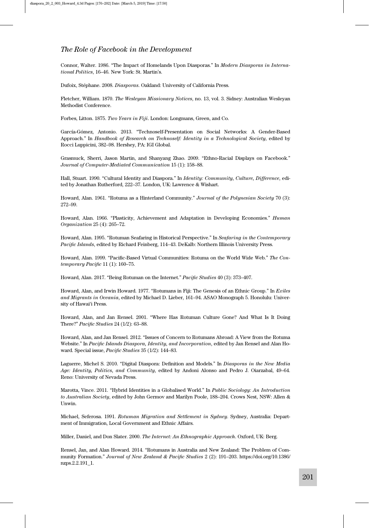Connor, Walter. 1986. "The Impact of Homelands Upon Diasporas." In Modern Diasporas in International Politics, 16–46. New York: St. Martin's.

Dufoix, Stéphane. 2008. Diasporas. Oakland: University of California Press.

Fletcher, William. 1870. The Wesleyan Missionary Notices, no. 13, vol. 3. Sidney: Australian Wesleyan Methodist Conference.

Forbes, Litton. 1875. Two Years in Fiji. London: Longmans, Green, and Co.

García-Gómez, Antonio. 2013. "Technoself-Presentation on Social Networks: A Gender-Based Approach." In Handbook of Research on Technoself: Identity in a Technological Society, edited by Rocci Luppicini, 382–98. Hershey, PA: IGI Global.

Grasmuck, Sherri, Jason Martin, and Shanyang Zhao. 2009. "Ethno-Racial Displays on Facebook." Journal of Computer-Mediated Communication 15 (1): 158–88.

Hall, Stuart. 1990. "Cultural Identity and Diaspora." In Identity: Community, Culture, Difference, edited by Jonathan Rutherford, 222–37. London, UK: Lawrence & Wishart.

Howard, Alan. 1961. "Rotuma as a Hinterland Community." Journal of the Polynesian Society 70 (3): 272–99.

Howard, Alan. 1966. "Plasticity, Achievement and Adaptation in Developing Economies." Human Organization 25 (4): 265–72.

Howard, Alan. 1995. "Rotuman Seafaring in Historical Perspective." In Seafaring in the Contemporary Pacific Islands, edited by Richard Feinberg, 114–43. DeKalb: Northern Illinois University Press.

Howard, Alan. 1999. "Pacific-Based Virtual Communities: Rotuma on the World Wide Web." The Contemporary Pacific 11 (1): 160–75.

Howard, Alan. 2017. "Being Rotuman on the Internet." Pacific Studies 40 (3): 373–407.

Howard, Alan, and Irwin Howard. 1977. "Rotumans in Fiji: The Genesis of an Ethnic Group." In Exiles and Migrants in Oceania, edited by Michael D. Lieber, 161–94. ASAO Monograph 5. Honolulu: University of Hawai'i Press.

Howard, Alan, and Jan Rensel. 2001. "Where Has Rotuman Culture Gone? And What Is It Doing There?" Pacific Studies 24 (1/2): 63–88.

Howard, Alan, and Jan Rensel. 2012. "Issues of Concern to Rotumans Abroad: A View from the Rotuma Website." In Pacific Islands Diaspora, Identity, and Incorporation, edited by Jan Rensel and Alan Howard. Special issue, Pacific Studies 35 (1/2): 144–83.

Laguerre, Michel S. 2010. "Digital Diaspora: Definition and Models." In Diasporas in the New Media Age: Identity, Politics, and Community, edited by Andoni Alonso and Pedro J. Oiarzabal, 49–64. Reno: University of Nevada Press.

Marotta, Vince. 2011. "Hybrid Identities in a Globalised World." In Public Sociology: An Introduction to Australian Society, edited by John Germov and Marilyn Poole, 188–204. Crows Nest, NSW: Allen & Unwin.

Michael, Seferosa. 1991. Rotuman Migration and Settlement in Sydney. Sydney, Australia: Department of Immigration, Local Government and Ethnic Affairs.

Miller, Daniel, and Don Slater. 2000. The Internet: An Ethnographic Approach. Oxford, UK: Berg.

Rensel, Jan, and Alan Howard. 2014. "Rotumans in Australia and New Zealand: The Problem of Community Formation." Journal of New Zealand & Pacific Studies 2 (2): 191–203. https://doi.org/10.1386/ nzps.2.2.191\_1.